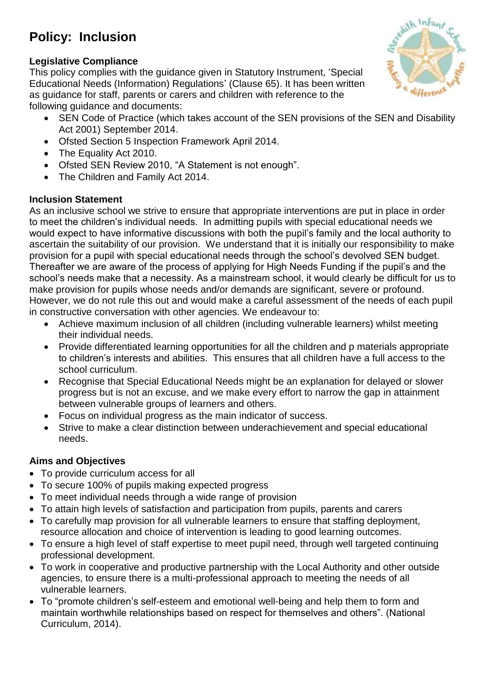# **Policy: Inclusion**

# edith Infant

#### **Legislative Compliance**

This policy complies with the guidance given in Statutory Instrument, 'Special Educational Needs (Information) Regulations' (Clause 65). It has been written as guidance for staff, parents or carers and children with reference to the following guidance and documents:

- SEN Code of Practice (which takes account of the SEN provisions of the SEN and Disability Act 2001) September 2014.
- Ofsted Section 5 Inspection Framework April 2014.
- The Equality Act 2010.
- Ofsted SEN Review 2010, "A Statement is not enough".
- The Children and Family Act 2014.

# **Inclusion Statement**

As an inclusive school we strive to ensure that appropriate interventions are put in place in order to meet the children's individual needs. In admitting pupils with special educational needs we would expect to have informative discussions with both the pupil's family and the local authority to ascertain the suitability of our provision. We understand that it is initially our responsibility to make provision for a pupil with special educational needs through the school's devolved SEN budget. Thereafter we are aware of the process of applying for High Needs Funding if the pupil's and the school's needs make that a necessity. As a mainstream school, it would clearly be difficult for us to make provision for pupils whose needs and/or demands are significant, severe or profound. However, we do not rule this out and would make a careful assessment of the needs of each pupil in constructive conversation with other agencies. We endeavour to:

- Achieve maximum inclusion of all children (including vulnerable learners) whilst meeting their individual needs.
- Provide differentiated learning opportunities for all the children and p materials appropriate to children's interests and abilities. This ensures that all children have a full access to the school curriculum.
- Recognise that Special Educational Needs might be an explanation for delayed or slower progress but is not an excuse, and we make every effort to narrow the gap in attainment between vulnerable groups of learners and others.
- Focus on individual progress as the main indicator of success.
- Strive to make a clear distinction between underachievement and special educational needs.

# **Aims and Objectives**

- To provide curriculum access for all
- To secure 100% of pupils making expected progress
- To meet individual needs through a wide range of provision
- To attain high levels of satisfaction and participation from pupils, parents and carers
- To carefully map provision for all vulnerable learners to ensure that staffing deployment, resource allocation and choice of intervention is leading to good learning outcomes.
- To ensure a high level of staff expertise to meet pupil need, through well targeted continuing professional development.
- To work in cooperative and productive partnership with the Local Authority and other outside agencies, to ensure there is a multi-professional approach to meeting the needs of all vulnerable learners.
- To "promote children's self-esteem and emotional well-being and help them to form and maintain worthwhile relationships based on respect for themselves and others". (National Curriculum, 2014).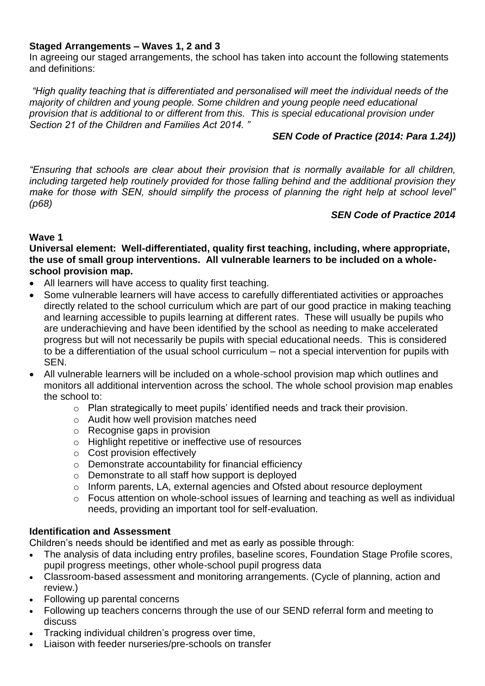#### **Staged Arrangements – Waves 1, 2 and 3**

In agreeing our staged arrangements, the school has taken into account the following statements and definitions:

*"High quality teaching that is differentiated and personalised will meet the individual needs of the majority of children and young people. Some children and young people need educational provision that is additional to or different from this. This is special educational provision under Section 21 of the Children and Families Act 2014. "* 

#### *SEN Code of Practice (2014: Para 1.24))*

*"Ensuring that schools are clear about their provision that is normally available for all children, including targeted help routinely provided for those falling behind and the additional provision they make for those with SEN, should simplify the process of planning the right help at school level" (p68)*

#### *SEN Code of Practice 2014*

#### **Wave 1**

**Universal element: Well-differentiated, quality first teaching, including, where appropriate, the use of small group interventions. All vulnerable learners to be included on a wholeschool provision map.**

- All learners will have access to quality first teaching.
- Some vulnerable learners will have access to carefully differentiated activities or approaches directly related to the school curriculum which are part of our good practice in making teaching and learning accessible to pupils learning at different rates. These will usually be pupils who are underachieving and have been identified by the school as needing to make accelerated progress but will not necessarily be pupils with special educational needs. This is considered to be a differentiation of the usual school curriculum – not a special intervention for pupils with SEN.
- All vulnerable learners will be included on a whole-school provision map which outlines and monitors all additional intervention across the school. The whole school provision map enables the school to:
	- o Plan strategically to meet pupils' identified needs and track their provision.
	- o Audit how well provision matches need
	- o Recognise gaps in provision
	- o Highlight repetitive or ineffective use of resources
	- o Cost provision effectively
	- o Demonstrate accountability for financial efficiency
	- o Demonstrate to all staff how support is deployed
	- o Inform parents, LA, external agencies and Ofsted about resource deployment
	- o Focus attention on whole-school issues of learning and teaching as well as individual needs, providing an important tool for self-evaluation.

#### **Identification and Assessment**

Children's needs should be identified and met as early as possible through:

- The analysis of data including entry profiles, baseline scores, Foundation Stage Profile scores, pupil progress meetings, other whole-school pupil progress data
- Classroom-based assessment and monitoring arrangements. (Cycle of planning, action and review.)
- Following up parental concerns
- Following up teachers concerns through the use of our SEND referral form and meeting to discuss
- Tracking individual children's progress over time,
- Liaison with feeder nurseries/pre-schools on transfer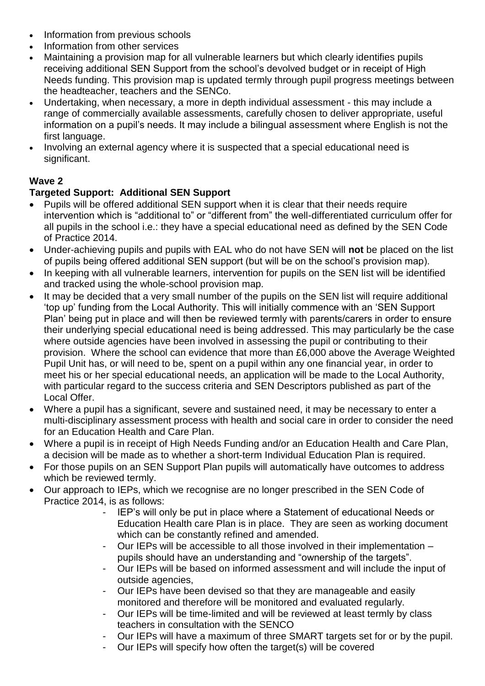- Information from previous schools
- Information from other services
- Maintaining a provision map for all vulnerable learners but which clearly identifies pupils receiving additional SEN Support from the school's devolved budget or in receipt of High Needs funding. This provision map is updated termly through pupil progress meetings between the headteacher, teachers and the SENCo.
- Undertaking, when necessary, a more in depth individual assessment this may include a range of commercially available assessments, carefully chosen to deliver appropriate, useful information on a pupil's needs. It may include a bilingual assessment where English is not the first language.
- Involving an external agency where it is suspected that a special educational need is significant.

# **Wave 2**

# **Targeted Support: Additional SEN Support**

- Pupils will be offered additional SEN support when it is clear that their needs require intervention which is "additional to" or "different from" the well-differentiated curriculum offer for all pupils in the school i.e.: they have a special educational need as defined by the SEN Code of Practice 2014.
- Under-achieving pupils and pupils with EAL who do not have SEN will **not** be placed on the list of pupils being offered additional SEN support (but will be on the school's provision map).
- In keeping with all vulnerable learners, intervention for pupils on the SEN list will be identified and tracked using the whole-school provision map.
- It may be decided that a very small number of the pupils on the SEN list will require additional 'top up' funding from the Local Authority. This will initially commence with an 'SEN Support Plan' being put in place and will then be reviewed termly with parents/carers in order to ensure their underlying special educational need is being addressed. This may particularly be the case where outside agencies have been involved in assessing the pupil or contributing to their provision. Where the school can evidence that more than £6,000 above the Average Weighted Pupil Unit has, or will need to be, spent on a pupil within any one financial year, in order to meet his or her special educational needs, an application will be made to the Local Authority, with particular regard to the success criteria and SEN Descriptors published as part of the Local Offer.
- Where a pupil has a significant, severe and sustained need, it may be necessary to enter a multi-disciplinary assessment process with health and social care in order to consider the need for an Education Health and Care Plan.
- Where a pupil is in receipt of High Needs Funding and/or an Education Health and Care Plan, a decision will be made as to whether a short-term Individual Education Plan is required.
- For those pupils on an SEN Support Plan pupils will automatically have outcomes to address which be reviewed termly.
- Our approach to IEPs, which we recognise are no longer prescribed in the SEN Code of Practice 2014, is as follows:
	- IEP's will only be put in place where a Statement of educational Needs or Education Health care Plan is in place. They are seen as working document which can be constantly refined and amended.
	- Our IEPs will be accessible to all those involved in their implementation pupils should have an understanding and "ownership of the targets".
	- Our IEPs will be based on informed assessment and will include the input of outside agencies,
	- Our IEPs have been devised so that they are manageable and easily monitored and therefore will be monitored and evaluated regularly.
	- Our IEPs will be time-limited and will be reviewed at least termly by class teachers in consultation with the SENCO
	- Our IEPs will have a maximum of three SMART targets set for or by the pupil.
	- Our IEPs will specify how often the target(s) will be covered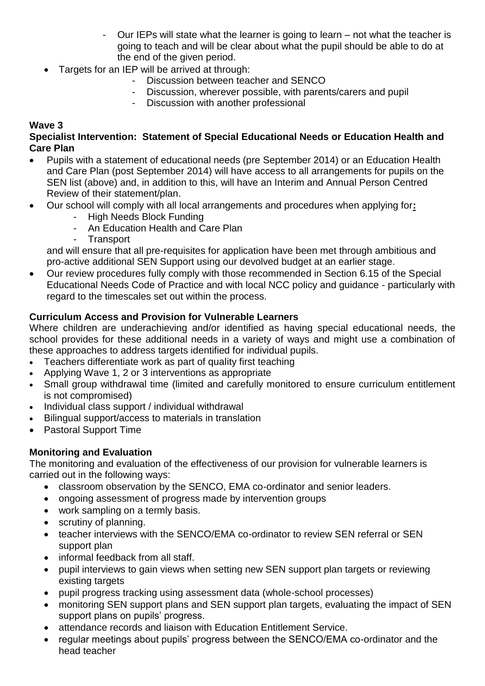- Our IEPs will state what the learner is going to learn not what the teacher is going to teach and will be clear about what the pupil should be able to do at the end of the given period.
- Targets for an IEP will be arrived at through:
	- Discussion between teacher and SENCO
	- Discussion, wherever possible, with parents/carers and pupil
	- Discussion with another professional

## **Wave 3**

#### **Specialist Intervention: Statement of Special Educational Needs or Education Health and Care Plan**

- Pupils with a statement of educational needs (pre September 2014) or an Education Health and Care Plan (post September 2014) will have access to all arrangements for pupils on the SEN list (above) and, in addition to this, will have an Interim and Annual Person Centred Review of their statement/plan.
- Our school will comply with all local arrangements and procedures when applying for**:**
	- High Needs Block Funding
	- An Education Health and Care Plan
	- Transport

and will ensure that all pre-requisites for application have been met through ambitious and pro-active additional SEN Support using our devolved budget at an earlier stage.

 Our review procedures fully comply with those recommended in Section 6.15 of the Special Educational Needs Code of Practice and with local NCC policy and guidance - particularly with regard to the timescales set out within the process.

### **Curriculum Access and Provision for Vulnerable Learners**

Where children are underachieving and/or identified as having special educational needs, the school provides for these additional needs in a variety of ways and might use a combination of these approaches to address targets identified for individual pupils.

- Teachers differentiate work as part of quality first teaching
- Applying Wave 1, 2 or 3 interventions as appropriate
- Small group withdrawal time (limited and carefully monitored to ensure curriculum entitlement is not compromised)
- Individual class support / individual withdrawal
- Bilingual support/access to materials in translation
- Pastoral Support Time

#### **Monitoring and Evaluation**

The monitoring and evaluation of the effectiveness of our provision for vulnerable learners is carried out in the following ways:

- classroom observation by the SENCO, EMA co-ordinator and senior leaders.
- ongoing assessment of progress made by intervention groups
- work sampling on a termly basis.
- scrutiny of planning.
- teacher interviews with the SENCO/EMA co-ordinator to review SEN referral or SEN support plan
- informal feedback from all staff.
- pupil interviews to gain views when setting new SEN support plan targets or reviewing existing targets
- pupil progress tracking using assessment data (whole-school processes)
- monitoring SEN support plans and SEN support plan targets, evaluating the impact of SEN support plans on pupils' progress.
- attendance records and liaison with Education Entitlement Service.
- regular meetings about pupils' progress between the SENCO/EMA co-ordinator and the head teacher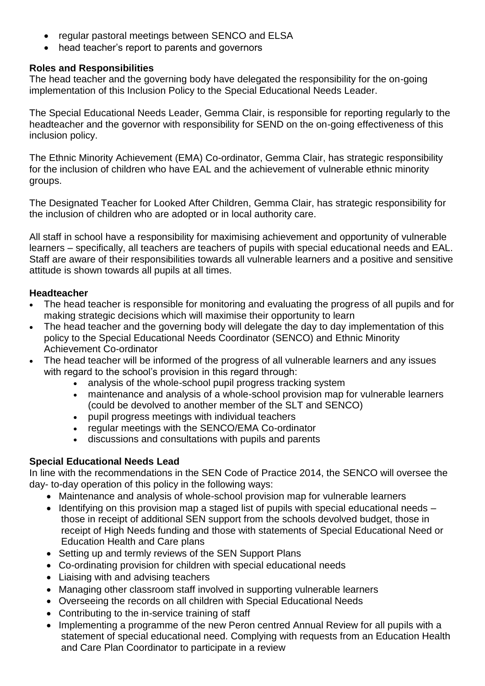- regular pastoral meetings between SENCO and ELSA
- head teacher's report to parents and governors

#### **Roles and Responsibilities**

The head teacher and the governing body have delegated the responsibility for the on-going implementation of this Inclusion Policy to the Special Educational Needs Leader.

The Special Educational Needs Leader, Gemma Clair, is responsible for reporting regularly to the headteacher and the governor with responsibility for SEND on the on-going effectiveness of this inclusion policy.

The Ethnic Minority Achievement (EMA) Co-ordinator, Gemma Clair, has strategic responsibility for the inclusion of children who have EAL and the achievement of vulnerable ethnic minority groups.

The Designated Teacher for Looked After Children, Gemma Clair, has strategic responsibility for the inclusion of children who are adopted or in local authority care.

All staff in school have a responsibility for maximising achievement and opportunity of vulnerable learners – specifically, all teachers are teachers of pupils with special educational needs and EAL. Staff are aware of their responsibilities towards all vulnerable learners and a positive and sensitive attitude is shown towards all pupils at all times.

#### **Headteacher**

- The head teacher is responsible for monitoring and evaluating the progress of all pupils and for making strategic decisions which will maximise their opportunity to learn
- The head teacher and the governing body will delegate the day to day implementation of this policy to the Special Educational Needs Coordinator (SENCO) and Ethnic Minority Achievement Co-ordinator
- The head teacher will be informed of the progress of all vulnerable learners and any issues with regard to the school's provision in this regard through:
	- analysis of the whole-school pupil progress tracking system
	- maintenance and analysis of a whole-school provision map for vulnerable learners (could be devolved to another member of the SLT and SENCO)
	- pupil progress meetings with individual teachers
	- regular meetings with the SENCO/EMA Co-ordinator
	- discussions and consultations with pupils and parents

#### **Special Educational Needs Lead**

In line with the recommendations in the SEN Code of Practice 2014, the SENCO will oversee the day- to-day operation of this policy in the following ways:

- Maintenance and analysis of whole-school provision map for vulnerable learners
- $\bullet$  Identifying on this provision map a staged list of pupils with special educational needs  $$ those in receipt of additional SEN support from the schools devolved budget, those in receipt of High Needs funding and those with statements of Special Educational Need or Education Health and Care plans
- Setting up and termly reviews of the SEN Support Plans
- Co-ordinating provision for children with special educational needs
- Liaising with and advising teachers
- Managing other classroom staff involved in supporting vulnerable learners
- Overseeing the records on all children with Special Educational Needs
- Contributing to the in-service training of staff
- Implementing a programme of the new Peron centred Annual Review for all pupils with a statement of special educational need. Complying with requests from an Education Health and Care Plan Coordinator to participate in a review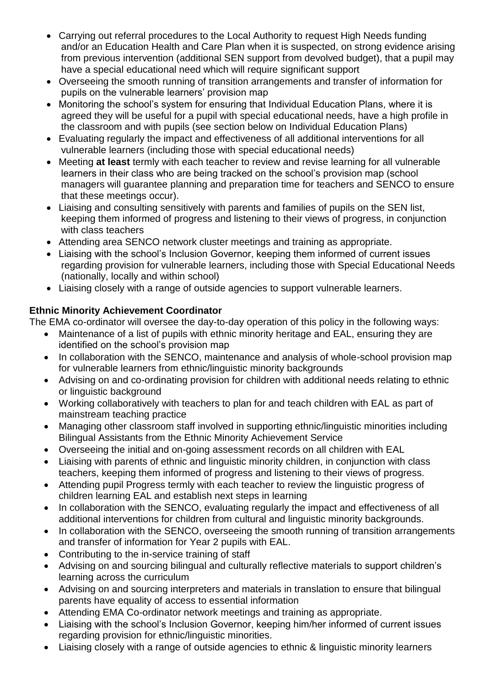- Carrying out referral procedures to the Local Authority to request High Needs funding and/or an Education Health and Care Plan when it is suspected, on strong evidence arising from previous intervention (additional SEN support from devolved budget), that a pupil may have a special educational need which will require significant support
- Overseeing the smooth running of transition arrangements and transfer of information for pupils on the vulnerable learners' provision map
- Monitoring the school's system for ensuring that Individual Education Plans, where it is agreed they will be useful for a pupil with special educational needs, have a high profile in the classroom and with pupils (see section below on Individual Education Plans)
- Evaluating regularly the impact and effectiveness of all additional interventions for all vulnerable learners (including those with special educational needs)
- Meeting **at least** termly with each teacher to review and revise learning for all vulnerable learners in their class who are being tracked on the school's provision map (school managers will guarantee planning and preparation time for teachers and SENCO to ensure that these meetings occur).
- Liaising and consulting sensitively with parents and families of pupils on the SEN list, keeping them informed of progress and listening to their views of progress, in conjunction with class teachers
- Attending area SENCO network cluster meetings and training as appropriate.
- Liaising with the school's Inclusion Governor, keeping them informed of current issues regarding provision for vulnerable learners, including those with Special Educational Needs (nationally, locally and within school)
- Liaising closely with a range of outside agencies to support vulnerable learners.

# **Ethnic Minority Achievement Coordinator**

The EMA co-ordinator will oversee the day-to-day operation of this policy in the following ways:

- Maintenance of a list of pupils with ethnic minority heritage and EAL, ensuring they are identified on the school's provision map
- In collaboration with the SENCO, maintenance and analysis of whole-school provision map for vulnerable learners from ethnic/linguistic minority backgrounds
- Advising on and co-ordinating provision for children with additional needs relating to ethnic or linguistic background
- Working collaboratively with teachers to plan for and teach children with EAL as part of mainstream teaching practice
- Managing other classroom staff involved in supporting ethnic/linguistic minorities including Bilingual Assistants from the Ethnic Minority Achievement Service
- Overseeing the initial and on-going assessment records on all children with EAL
- Liaising with parents of ethnic and linguistic minority children, in conjunction with class teachers, keeping them informed of progress and listening to their views of progress.
- Attending pupil Progress termly with each teacher to review the linguistic progress of children learning EAL and establish next steps in learning
- In collaboration with the SENCO, evaluating regularly the impact and effectiveness of all additional interventions for children from cultural and linguistic minority backgrounds.
- In collaboration with the SENCO, overseeing the smooth running of transition arrangements and transfer of information for Year 2 pupils with EAL.
- Contributing to the in-service training of staff
- Advising on and sourcing bilingual and culturally reflective materials to support children's learning across the curriculum
- Advising on and sourcing interpreters and materials in translation to ensure that bilingual parents have equality of access to essential information
- Attending EMA Co-ordinator network meetings and training as appropriate.
- Liaising with the school's Inclusion Governor, keeping him/her informed of current issues regarding provision for ethnic/linguistic minorities.
- Liaising closely with a range of outside agencies to ethnic & linguistic minority learners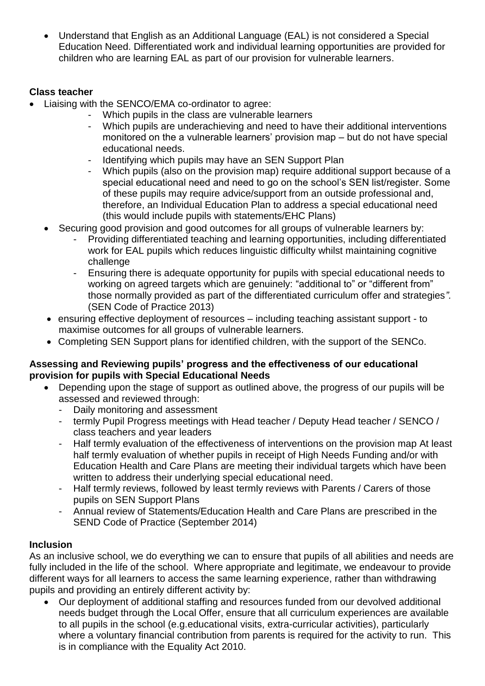Understand that English as an Additional Language (EAL) is not considered a Special Education Need. Differentiated work and individual learning opportunities are provided for children who are learning EAL as part of our provision for vulnerable learners.

## **Class teacher**

- Liaising with the SENCO/EMA co-ordinator to agree:
	- Which pupils in the class are vulnerable learners
	- Which pupils are underachieving and need to have their additional interventions monitored on the a vulnerable learners' provision map – but do not have special educational needs.
	- Identifying which pupils may have an SEN Support Plan
	- Which pupils (also on the provision map) require additional support because of a special educational need and need to go on the school's SEN list/register. Some of these pupils may require advice/support from an outside professional and, therefore, an Individual Education Plan to address a special educational need (this would include pupils with statements/EHC Plans)
	- Securing good provision and good outcomes for all groups of vulnerable learners by:
		- Providing differentiated teaching and learning opportunities, including differentiated work for EAL pupils which reduces linguistic difficulty whilst maintaining cognitive challenge
		- Ensuring there is adequate opportunity for pupils with special educational needs to working on agreed targets which are genuinely: "additional to" or "different from" those normally provided as part of the differentiated curriculum offer and strategies*".*  (SEN Code of Practice 2013)
	- ensuring effective deployment of resources including teaching assistant support to maximise outcomes for all groups of vulnerable learners.
	- Completing SEN Support plans for identified children, with the support of the SENCo.

#### **Assessing and Reviewing pupils' progress and the effectiveness of our educational provision for pupils with Special Educational Needs**

- Depending upon the stage of support as outlined above, the progress of our pupils will be assessed and reviewed through:
	- Daily monitoring and assessment
	- termly Pupil Progress meetings with Head teacher / Deputy Head teacher / SENCO / class teachers and year leaders
	- Half termly evaluation of the effectiveness of interventions on the provision map At least half termly evaluation of whether pupils in receipt of High Needs Funding and/or with Education Health and Care Plans are meeting their individual targets which have been written to address their underlying special educational need.
	- Half termly reviews, followed by least termly reviews with Parents / Carers of those pupils on SEN Support Plans
	- Annual review of Statements/Education Health and Care Plans are prescribed in the SEND Code of Practice (September 2014)

#### **Inclusion**

As an inclusive school, we do everything we can to ensure that pupils of all abilities and needs are fully included in the life of the school. Where appropriate and legitimate, we endeavour to provide different ways for all learners to access the same learning experience, rather than withdrawing pupils and providing an entirely different activity by:

 Our deployment of additional staffing and resources funded from our devolved additional needs budget through the Local Offer, ensure that all curriculum experiences are available to all pupils in the school (e.g.educational visits, extra-curricular activities), particularly where a voluntary financial contribution from parents is required for the activity to run. This is in compliance with the Equality Act 2010.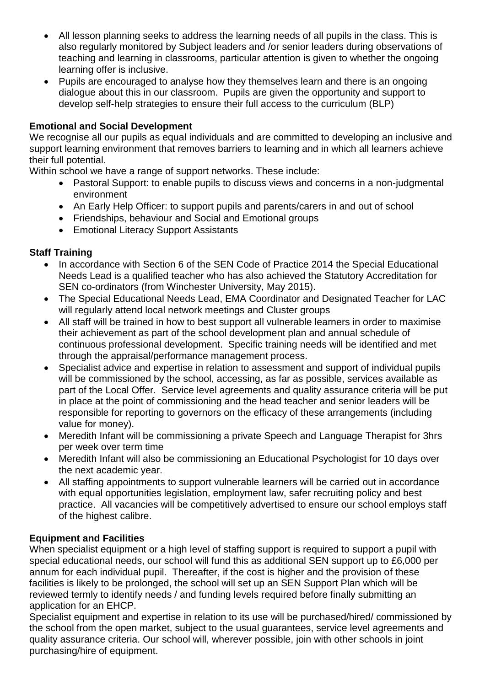- All lesson planning seeks to address the learning needs of all pupils in the class. This is also regularly monitored by Subject leaders and /or senior leaders during observations of teaching and learning in classrooms, particular attention is given to whether the ongoing learning offer is inclusive.
- Pupils are encouraged to analyse how they themselves learn and there is an ongoing dialogue about this in our classroom. Pupils are given the opportunity and support to develop self-help strategies to ensure their full access to the curriculum (BLP)

### **Emotional and Social Development**

We recognise all our pupils as equal individuals and are committed to developing an inclusive and support learning environment that removes barriers to learning and in which all learners achieve their full potential.

Within school we have a range of support networks. These include:

- Pastoral Support: to enable pupils to discuss views and concerns in a non-judgmental environment
- An Early Help Officer: to support pupils and parents/carers in and out of school
- Friendships, behaviour and Social and Emotional groups
- Emotional Literacy Support Assistants

#### **Staff Training**

- In accordance with Section 6 of the SEN Code of Practice 2014 the Special Educational Needs Lead is a qualified teacher who has also achieved the Statutory Accreditation for SEN co-ordinators (from Winchester University, May 2015).
- The Special Educational Needs Lead, EMA Coordinator and Designated Teacher for LAC will regularly attend local network meetings and Cluster groups
- All staff will be trained in how to best support all vulnerable learners in order to maximise their achievement as part of the school development plan and annual schedule of continuous professional development. Specific training needs will be identified and met through the appraisal/performance management process.
- Specialist advice and expertise in relation to assessment and support of individual pupils will be commissioned by the school, accessing, as far as possible, services available as part of the Local Offer. Service level agreements and quality assurance criteria will be put in place at the point of commissioning and the head teacher and senior leaders will be responsible for reporting to governors on the efficacy of these arrangements (including value for money).
- Meredith Infant will be commissioning a private Speech and Language Therapist for 3hrs per week over term time
- Meredith Infant will also be commissioning an Educational Psychologist for 10 days over the next academic year.
- All staffing appointments to support vulnerable learners will be carried out in accordance with equal opportunities legislation, employment law, safer recruiting policy and best practice. All vacancies will be competitively advertised to ensure our school employs staff of the highest calibre.

#### **Equipment and Facilities**

When specialist equipment or a high level of staffing support is required to support a pupil with special educational needs, our school will fund this as additional SEN support up to £6,000 per annum for each individual pupil. Thereafter, if the cost is higher and the provision of these facilities is likely to be prolonged, the school will set up an SEN Support Plan which will be reviewed termly to identify needs / and funding levels required before finally submitting an application for an EHCP.

Specialist equipment and expertise in relation to its use will be purchased/hired/ commissioned by the school from the open market, subject to the usual guarantees, service level agreements and quality assurance criteria. Our school will, wherever possible, join with other schools in joint purchasing/hire of equipment.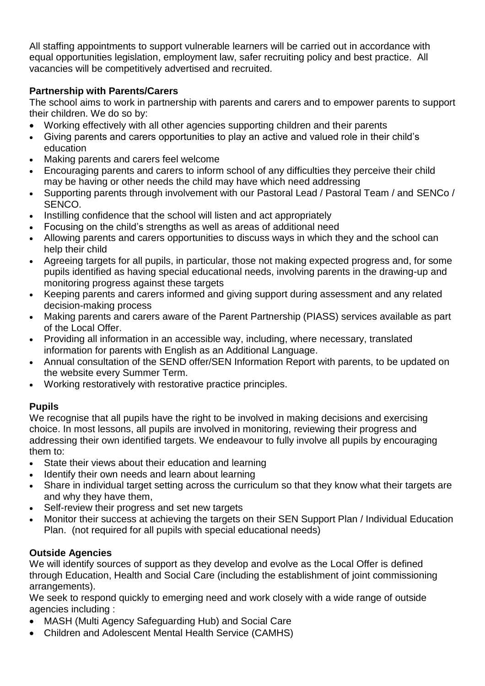All staffing appointments to support vulnerable learners will be carried out in accordance with equal opportunities legislation, employment law, safer recruiting policy and best practice. All vacancies will be competitively advertised and recruited.

# **Partnership with Parents/Carers**

The school aims to work in partnership with parents and carers and to empower parents to support their children. We do so by:

- Working effectively with all other agencies supporting children and their parents
- Giving parents and carers opportunities to play an active and valued role in their child's education
- Making parents and carers feel welcome
- Encouraging parents and carers to inform school of any difficulties they perceive their child may be having or other needs the child may have which need addressing
- Supporting parents through involvement with our Pastoral Lead / Pastoral Team / and SENCo / SENCO.
- Instilling confidence that the school will listen and act appropriately
- Focusing on the child's strengths as well as areas of additional need
- Allowing parents and carers opportunities to discuss ways in which they and the school can help their child
- Agreeing targets for all pupils, in particular, those not making expected progress and, for some pupils identified as having special educational needs, involving parents in the drawing-up and monitoring progress against these targets
- Keeping parents and carers informed and giving support during assessment and any related decision-making process
- Making parents and carers aware of the Parent Partnership (PIASS) services available as part of the Local Offer.
- Providing all information in an accessible way, including, where necessary, translated information for parents with English as an Additional Language.
- Annual consultation of the SEND offer/SEN Information Report with parents, to be updated on the website every Summer Term.
- Working restoratively with restorative practice principles.

# **Pupils**

We recognise that all pupils have the right to be involved in making decisions and exercising choice. In most lessons, all pupils are involved in monitoring, reviewing their progress and addressing their own identified targets. We endeavour to fully involve all pupils by encouraging them to:

- State their views about their education and learning
- Identify their own needs and learn about learning
- Share in individual target setting across the curriculum so that they know what their targets are and why they have them,
- Self-review their progress and set new targets
- Monitor their success at achieving the targets on their SEN Support Plan / Individual Education Plan. (not required for all pupils with special educational needs)

# **Outside Agencies**

We will identify sources of support as they develop and evolve as the Local Offer is defined through Education, Health and Social Care (including the establishment of joint commissioning arrangements).

We seek to respond quickly to emerging need and work closely with a wide range of outside agencies including :

- MASH (Multi Agency Safeguarding Hub) and Social Care
- Children and Adolescent Mental Health Service (CAMHS)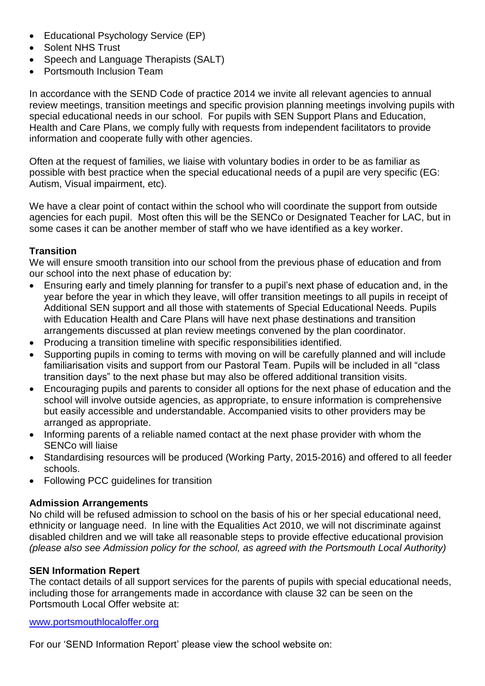- Educational Psychology Service (EP)
- Solent NHS Trust
- Speech and Language Therapists (SALT)
- Portsmouth Inclusion Team

In accordance with the SEND Code of practice 2014 we invite all relevant agencies to annual review meetings, transition meetings and specific provision planning meetings involving pupils with special educational needs in our school. For pupils with SEN Support Plans and Education, Health and Care Plans, we comply fully with requests from independent facilitators to provide information and cooperate fully with other agencies.

Often at the request of families, we liaise with voluntary bodies in order to be as familiar as possible with best practice when the special educational needs of a pupil are very specific (EG: Autism, Visual impairment, etc).

We have a clear point of contact within the school who will coordinate the support from outside agencies for each pupil. Most often this will be the SENCo or Designated Teacher for LAC, but in some cases it can be another member of staff who we have identified as a key worker.

#### **Transition**

We will ensure smooth transition into our school from the previous phase of education and from our school into the next phase of education by:

- Ensuring early and timely planning for transfer to a pupil's next phase of education and, in the year before the year in which they leave, will offer transition meetings to all pupils in receipt of Additional SEN support and all those with statements of Special Educational Needs. Pupils with Education Health and Care Plans will have next phase destinations and transition arrangements discussed at plan review meetings convened by the plan coordinator.
- Producing a transition timeline with specific responsibilities identified.
- Supporting pupils in coming to terms with moving on will be carefully planned and will include familiarisation visits and support from our Pastoral Team. Pupils will be included in all "class transition days" to the next phase but may also be offered additional transition visits.
- Encouraging pupils and parents to consider all options for the next phase of education and the school will involve outside agencies, as appropriate, to ensure information is comprehensive but easily accessible and understandable. Accompanied visits to other providers may be arranged as appropriate.
- Informing parents of a reliable named contact at the next phase provider with whom the SENCo will liaise
- Standardising resources will be produced (Working Party, 2015-2016) and offered to all feeder schools.
- Following PCC guidelines for transition

#### **Admission Arrangements**

No child will be refused admission to school on the basis of his or her special educational need, ethnicity or language need. In line with the Equalities Act 2010, we will not discriminate against disabled children and we will take all reasonable steps to provide effective educational provision *(please also see Admission policy for the school, as agreed with the Portsmouth Local Authority)*

#### **SEN Information Repert**

The contact details of all support services for the parents of pupils with special educational needs, including those for arrangements made in accordance with clause 32 can be seen on the Portsmouth Local Offer website at:

[www.portsmouthlocaloffer.org](http://www.portsmouthlocaloffer.org/)

For our 'SEND Information Report' please view the school website on: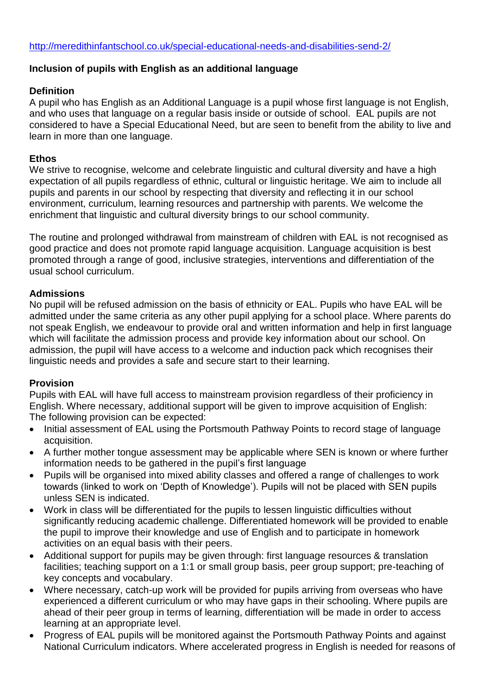#### **Inclusion of pupils with English as an additional language**

#### **Definition**

A pupil who has English as an Additional Language is a pupil whose first language is not English, and who uses that language on a regular basis inside or outside of school. EAL pupils are not considered to have a Special Educational Need, but are seen to benefit from the ability to live and learn in more than one language.

#### **Ethos**

We strive to recognise, welcome and celebrate linguistic and cultural diversity and have a high expectation of all pupils regardless of ethnic, cultural or linguistic heritage. We aim to include all pupils and parents in our school by respecting that diversity and reflecting it in our school environment, curriculum, learning resources and partnership with parents. We welcome the enrichment that linguistic and cultural diversity brings to our school community.

The routine and prolonged withdrawal from mainstream of children with EAL is not recognised as good practice and does not promote rapid language acquisition. Language acquisition is best promoted through a range of good, inclusive strategies, interventions and differentiation of the usual school curriculum.

### **Admissions**

No pupil will be refused admission on the basis of ethnicity or EAL. Pupils who have EAL will be admitted under the same criteria as any other pupil applying for a school place. Where parents do not speak English, we endeavour to provide oral and written information and help in first language which will facilitate the admission process and provide key information about our school. On admission, the pupil will have access to a welcome and induction pack which recognises their linguistic needs and provides a safe and secure start to their learning.

#### **Provision**

Pupils with EAL will have full access to mainstream provision regardless of their proficiency in English. Where necessary, additional support will be given to improve acquisition of English: The following provision can be expected:

- Initial assessment of EAL using the Portsmouth Pathway Points to record stage of language acquisition.
- A further mother tongue assessment may be applicable where SEN is known or where further information needs to be gathered in the pupil's first language
- Pupils will be organised into mixed ability classes and offered a range of challenges to work towards (linked to work on 'Depth of Knowledge'). Pupils will not be placed with SEN pupils unless SEN is indicated.
- Work in class will be differentiated for the pupils to lessen linguistic difficulties without significantly reducing academic challenge. Differentiated homework will be provided to enable the pupil to improve their knowledge and use of English and to participate in homework activities on an equal basis with their peers.
- Additional support for pupils may be given through: first language resources & translation facilities; teaching support on a 1:1 or small group basis, peer group support; pre-teaching of key concepts and vocabulary.
- Where necessary, catch-up work will be provided for pupils arriving from overseas who have experienced a different curriculum or who may have gaps in their schooling. Where pupils are ahead of their peer group in terms of learning, differentiation will be made in order to access learning at an appropriate level.
- Progress of EAL pupils will be monitored against the Portsmouth Pathway Points and against National Curriculum indicators. Where accelerated progress in English is needed for reasons of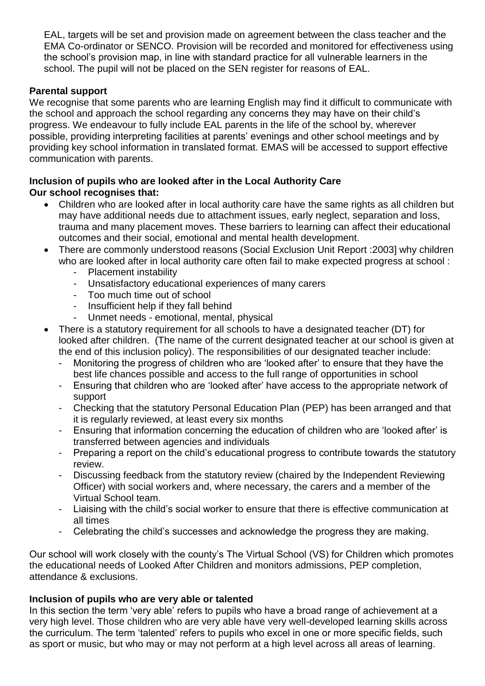EAL, targets will be set and provision made on agreement between the class teacher and the EMA Co-ordinator or SENCO. Provision will be recorded and monitored for effectiveness using the school's provision map, in line with standard practice for all vulnerable learners in the school. The pupil will not be placed on the SEN register for reasons of EAL.

#### **Parental support**

We recognise that some parents who are learning English may find it difficult to communicate with the school and approach the school regarding any concerns they may have on their child's progress. We endeavour to fully include EAL parents in the life of the school by, wherever possible, providing interpreting facilities at parents' evenings and other school meetings and by providing key school information in translated format. EMAS will be accessed to support effective communication with parents.

#### **Inclusion of pupils who are looked after in the Local Authority Care Our school recognises that:**

- Children who are looked after in local authority care have the same rights as all children but may have additional needs due to attachment issues, early neglect, separation and loss, trauma and many placement moves. These barriers to learning can affect their educational outcomes and their social, emotional and mental health development.
- There are commonly understood reasons (Social Exclusion Unit Report :2003] why children who are looked after in local authority care often fail to make expected progress at school :
	- Placement instability
	- Unsatisfactory educational experiences of many carers
	- Too much time out of school
	- Insufficient help if they fall behind
	- Unmet needs emotional, mental, physical
- There is a statutory requirement for all schools to have a designated teacher (DT) for looked after children. (The name of the current designated teacher at our school is given at the end of this inclusion policy). The responsibilities of our designated teacher include:
	- Monitoring the progress of children who are 'looked after' to ensure that they have the best life chances possible and access to the full range of opportunities in school
	- Ensuring that children who are 'looked after' have access to the appropriate network of support
	- Checking that the statutory Personal Education Plan (PEP) has been arranged and that it is regularly reviewed, at least every six months
	- Ensuring that information concerning the education of children who are 'looked after' is transferred between agencies and individuals
	- Preparing a report on the child's educational progress to contribute towards the statutory review.
	- Discussing feedback from the statutory review (chaired by the Independent Reviewing Officer) with social workers and, where necessary, the carers and a member of the Virtual School team.
	- Liaising with the child's social worker to ensure that there is effective communication at all times
	- Celebrating the child's successes and acknowledge the progress they are making.

Our school will work closely with the county's The Virtual School (VS) for Children which promotes the educational needs of Looked After Children and monitors admissions, PEP completion, attendance & exclusions.

#### **Inclusion of pupils who are very able or talented**

In this section the term 'very able' refers to pupils who have a broad range of achievement at a very high level. Those children who are very able have very well-developed learning skills across the curriculum. The term 'talented' refers to pupils who excel in one or more specific fields, such as sport or music, but who may or may not perform at a high level across all areas of learning.